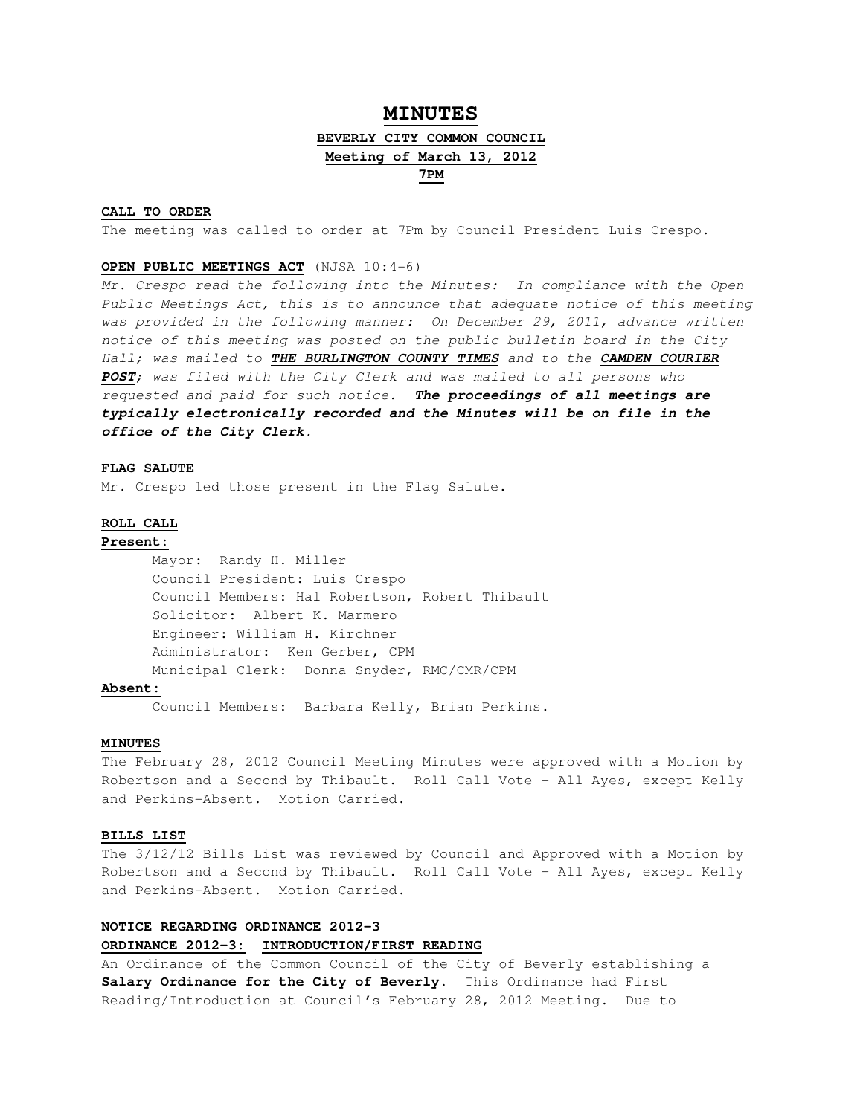# **MINUTES BEVERLY CITY COMMON COUNCIL Meeting of March 13, 2012 7PM**

#### **CALL TO ORDER**

The meeting was called to order at 7Pm by Council President Luis Crespo.

## **OPEN PUBLIC MEETINGS ACT** (NJSA 10:4-6)

Mr. Crespo read the following into the Minutes: In compliance with the Open Public Meetings Act, this is to announce that adequate notice of this meeting was provided in the following manner: On December 29, 2011, advance written notice of this meeting was posted on the public bulletin board in the City Hall; was mailed to **THE BURLINGTON COUNTY TIMES** and to the **CAMDEN COURIER POST**; was filed with the City Clerk and was mailed to all persons who requested and paid for such notice. **The proceedings of all meetings are typically electronically recorded and the Minutes will be on file in the office of the City Clerk.** 

## **FLAG SALUTE**

Mr. Crespo led those present in the Flag Salute.

## **ROLL CALL**

## **Present:**

 Mayor: Randy H. Miller Council President: Luis Crespo Council Members: Hal Robertson, Robert Thibault Solicitor: Albert K. Marmero Engineer: William H. Kirchner Administrator: Ken Gerber, CPM Municipal Clerk: Donna Snyder, RMC/CMR/CPM

## **Absent:**

Council Members: Barbara Kelly, Brian Perkins.

### **MINUTES**

The February 28, 2012 Council Meeting Minutes were approved with a Motion by Robertson and a Second by Thibault. Roll Call Vote – All Ayes, except Kelly and Perkins-Absent. Motion Carried.

#### **BILLS LIST**

The 3/12/12 Bills List was reviewed by Council and Approved with a Motion by Robertson and a Second by Thibault. Roll Call Vote – All Ayes, except Kelly and Perkins-Absent. Motion Carried.

## **NOTICE REGARDING ORDINANCE 2012-3 ORDINANCE 2012-3: INTRODUCTION/FIRST READING**

An Ordinance of the Common Council of the City of Beverly establishing a **Salary Ordinance for the City of Beverly**. This Ordinance had First Reading/Introduction at Council's February 28, 2012 Meeting. Due to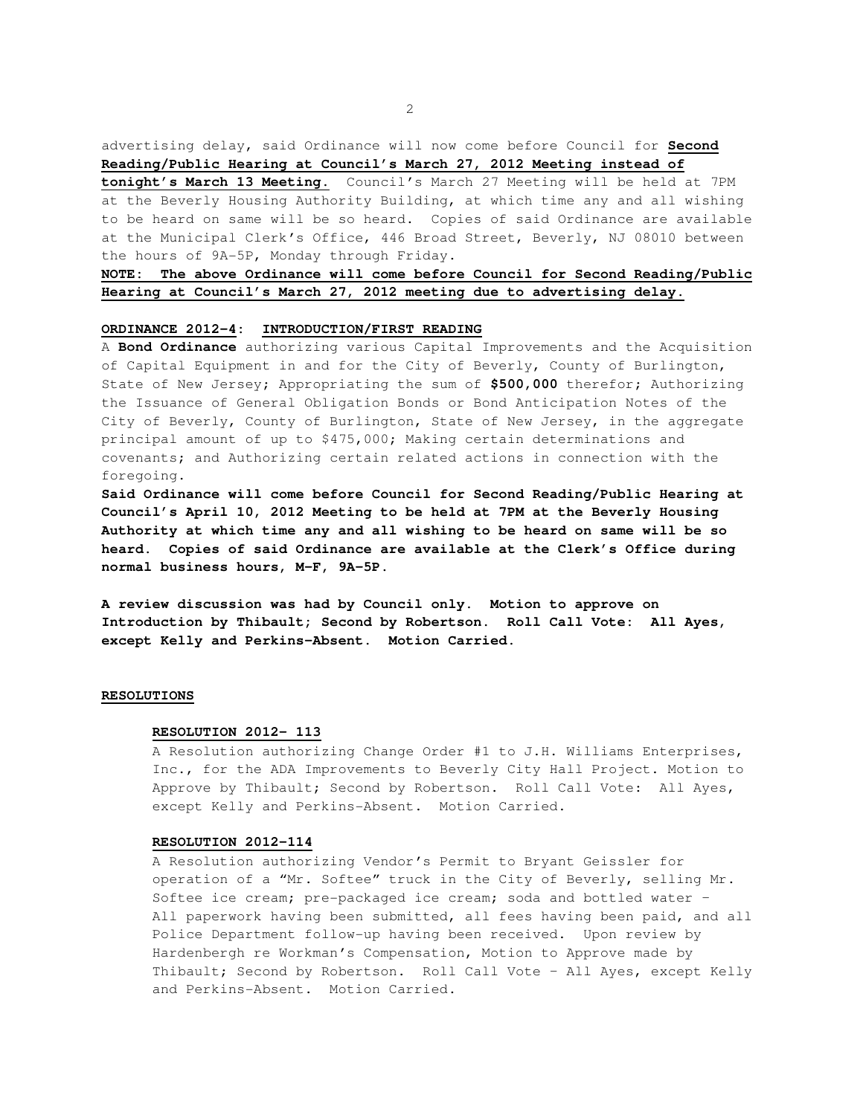advertising delay, said Ordinance will now come before Council for **Second Reading/Public Hearing at Council's March 27, 2012 Meeting instead of** 

**tonight's March 13 Meeting.** Council's March 27 Meeting will be held at 7PM at the Beverly Housing Authority Building, at which time any and all wishing to be heard on same will be so heard. Copies of said Ordinance are available at the Municipal Clerk's Office, 446 Broad Street, Beverly, NJ 08010 between the hours of 9A-5P, Monday through Friday.

## **NOTE: The above Ordinance will come before Council for Second Reading/Public Hearing at Council's March 27, 2012 meeting due to advertising delay.**

## **ORDINANCE 2012-4: INTRODUCTION/FIRST READING**

A **Bond Ordinance** authorizing various Capital Improvements and the Acquisition of Capital Equipment in and for the City of Beverly, County of Burlington, State of New Jersey; Appropriating the sum of **\$500,000** therefor; Authorizing the Issuance of General Obligation Bonds or Bond Anticipation Notes of the City of Beverly, County of Burlington, State of New Jersey, in the aggregate principal amount of up to \$475,000; Making certain determinations and covenants; and Authorizing certain related actions in connection with the foregoing.

**Said Ordinance will come before Council for Second Reading/Public Hearing at Council's April 10, 2012 Meeting to be held at 7PM at the Beverly Housing Authority at which time any and all wishing to be heard on same will be so heard. Copies of said Ordinance are available at the Clerk's Office during normal business hours, M-F, 9A-5P.** 

**A review discussion was had by Council only. Motion to approve on Introduction by Thibault; Second by Robertson. Roll Call Vote: All Ayes, except Kelly and Perkins-Absent. Motion Carried.** 

### **RESOLUTIONS**

#### **RESOLUTION 2012- 113**

A Resolution authorizing Change Order #1 to J.H. Williams Enterprises, Inc., for the ADA Improvements to Beverly City Hall Project. Motion to Approve by Thibault; Second by Robertson. Roll Call Vote: All Ayes, except Kelly and Perkins-Absent. Motion Carried.

## **RESOLUTION 2012-114**

A Resolution authorizing Vendor's Permit to Bryant Geissler for operation of a "Mr. Softee" truck in the City of Beverly, selling Mr. Softee ice cream; pre-packaged ice cream; soda and bottled water – All paperwork having been submitted, all fees having been paid, and all Police Department follow-up having been received. Upon review by Hardenbergh re Workman's Compensation, Motion to Approve made by Thibault; Second by Robertson. Roll Call Vote – All Ayes, except Kelly and Perkins-Absent. Motion Carried.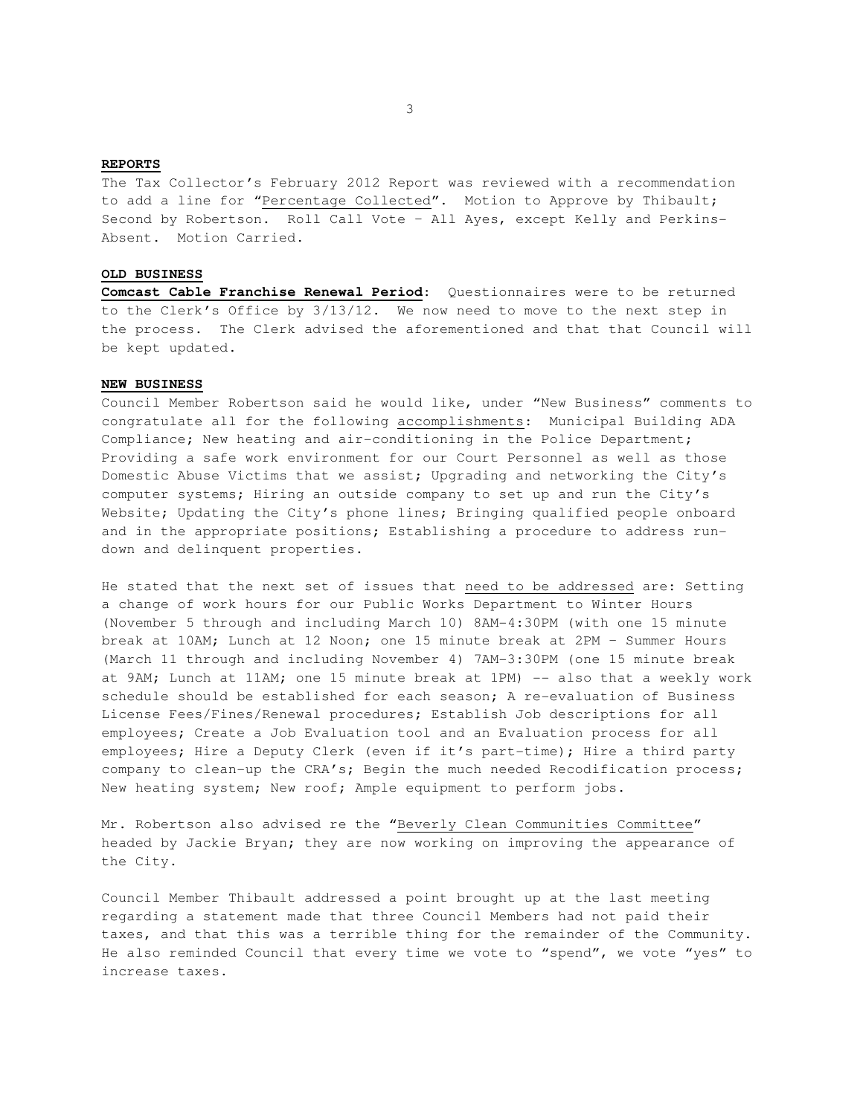## **REPORTS**

The Tax Collector's February 2012 Report was reviewed with a recommendation to add a line for "Percentage Collected". Motion to Approve by Thibault; Second by Robertson. Roll Call Vote – All Ayes, except Kelly and Perkins-Absent. Motion Carried.

#### **OLD BUSINESS**

**Comcast Cable Franchise Renewal Period**: Questionnaires were to be returned to the Clerk's Office by 3/13/12. We now need to move to the next step in the process. The Clerk advised the aforementioned and that that Council will be kept updated.

## **NEW BUSINESS**

Council Member Robertson said he would like, under "New Business" comments to congratulate all for the following accomplishments: Municipal Building ADA Compliance; New heating and air-conditioning in the Police Department; Providing a safe work environment for our Court Personnel as well as those Domestic Abuse Victims that we assist; Upgrading and networking the City's computer systems; Hiring an outside company to set up and run the City's Website; Updating the City's phone lines; Bringing qualified people onboard and in the appropriate positions; Establishing a procedure to address rundown and delinquent properties.

He stated that the next set of issues that need to be addressed are: Setting a change of work hours for our Public Works Department to Winter Hours (November 5 through and including March 10) 8AM-4:30PM (with one 15 minute break at 10AM; Lunch at 12 Noon; one 15 minute break at 2PM – Summer Hours (March 11 through and including November 4) 7AM-3:30PM (one 15 minute break at 9AM; Lunch at 11AM; one 15 minute break at 1PM) -- also that a weekly work schedule should be established for each season; A re-evaluation of Business License Fees/Fines/Renewal procedures; Establish Job descriptions for all employees; Create a Job Evaluation tool and an Evaluation process for all employees; Hire a Deputy Clerk (even if it's part-time); Hire a third party company to clean-up the CRA's; Begin the much needed Recodification process; New heating system; New roof; Ample equipment to perform jobs.

Mr. Robertson also advised re the "Beverly Clean Communities Committee" headed by Jackie Bryan; they are now working on improving the appearance of the City.

Council Member Thibault addressed a point brought up at the last meeting regarding a statement made that three Council Members had not paid their taxes, and that this was a terrible thing for the remainder of the Community. He also reminded Council that every time we vote to "spend", we vote "yes" to increase taxes.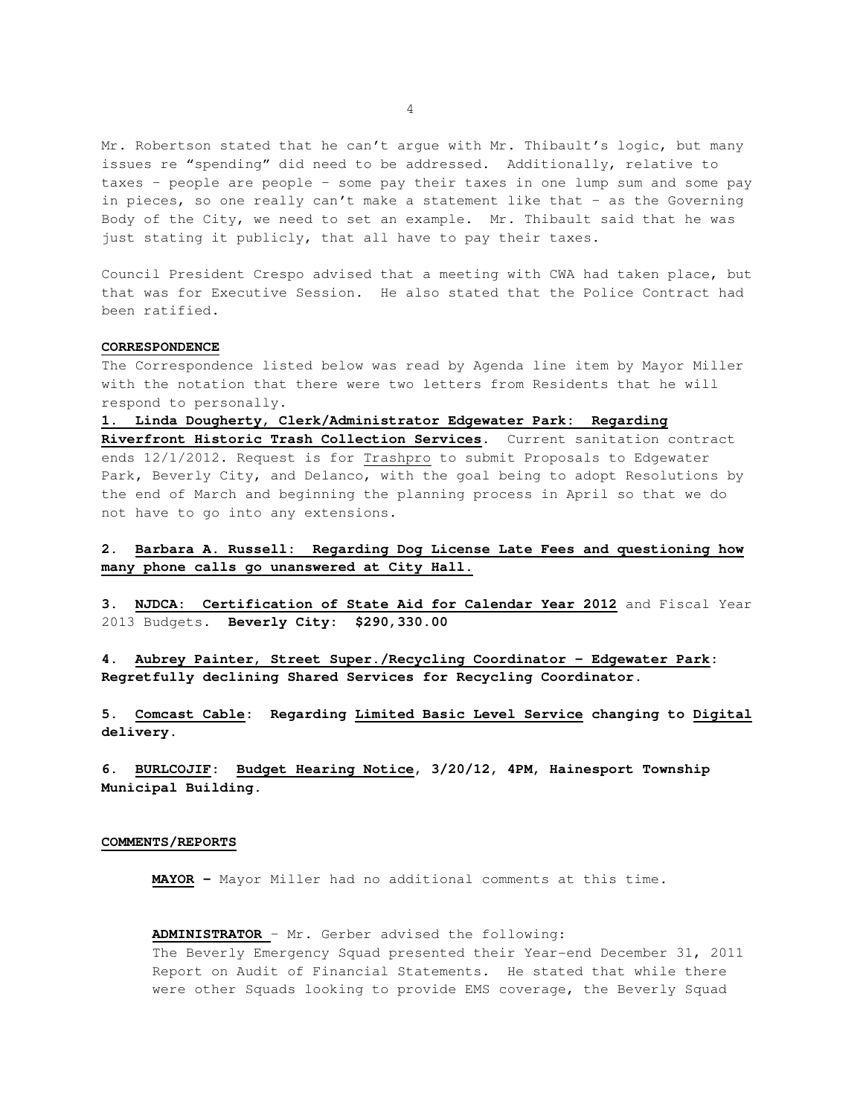Mr. Robertson stated that he can't argue with Mr. Thibault's logic, but many issues re "spending" did need to be addressed. Additionally, relative to taxes – people are people – some pay their taxes in one lump sum and some pay in pieces, so one really can't make a statement like that – as the Governing Body of the City, we need to set an example. Mr. Thibault said that he was just stating it publicly, that all have to pay their taxes.

Council President Crespo advised that a meeting with CWA had taken place, but that was for Executive Session. He also stated that the Police Contract had been ratified.

## **CORRESPONDENCE**

The Correspondence listed below was read by Agenda line item by Mayor Miller with the notation that there were two letters from Residents that he will respond to personally.

**1. Linda Dougherty, Clerk/Administrator Edgewater Park: Regarding Riverfront Historic Trash Collection Services**. Current sanitation contract ends 12/1/2012. Request is for Trashpro to submit Proposals to Edgewater Park, Beverly City, and Delanco, with the goal being to adopt Resolutions by the end of March and beginning the planning process in April so that we do not have to go into any extensions.

## **2. Barbara A. Russell: Regarding Dog License Late Fees and questioning how many phone calls go unanswered at City Hall.**

**3. NJDCA: Certification of State Aid for Calendar Year 2012** and Fiscal Year 2013 Budgets. **Beverly City: \$290,330.00** 

**4. Aubrey Painter, Street Super./Recycling Coordinator – Edgewater Park: Regretfully declining Shared Services for Recycling Coordinator.** 

**5. Comcast Cable: Regarding Limited Basic Level Service changing to Digital delivery.** 

**6. BURLCOJIF: Budget Hearing Notice, 3/20/12, 4PM, Hainesport Township Municipal Building.**

#### **COMMENTS/REPORTS**

**MAYOR -** Mayor Miller had no additional comments at this time.

#### **ADMINISTRATOR** – Mr. Gerber advised the following:

The Beverly Emergency Squad presented their Year-end December 31, 2011 Report on Audit of Financial Statements. He stated that while there were other Squads looking to provide EMS coverage, the Beverly Squad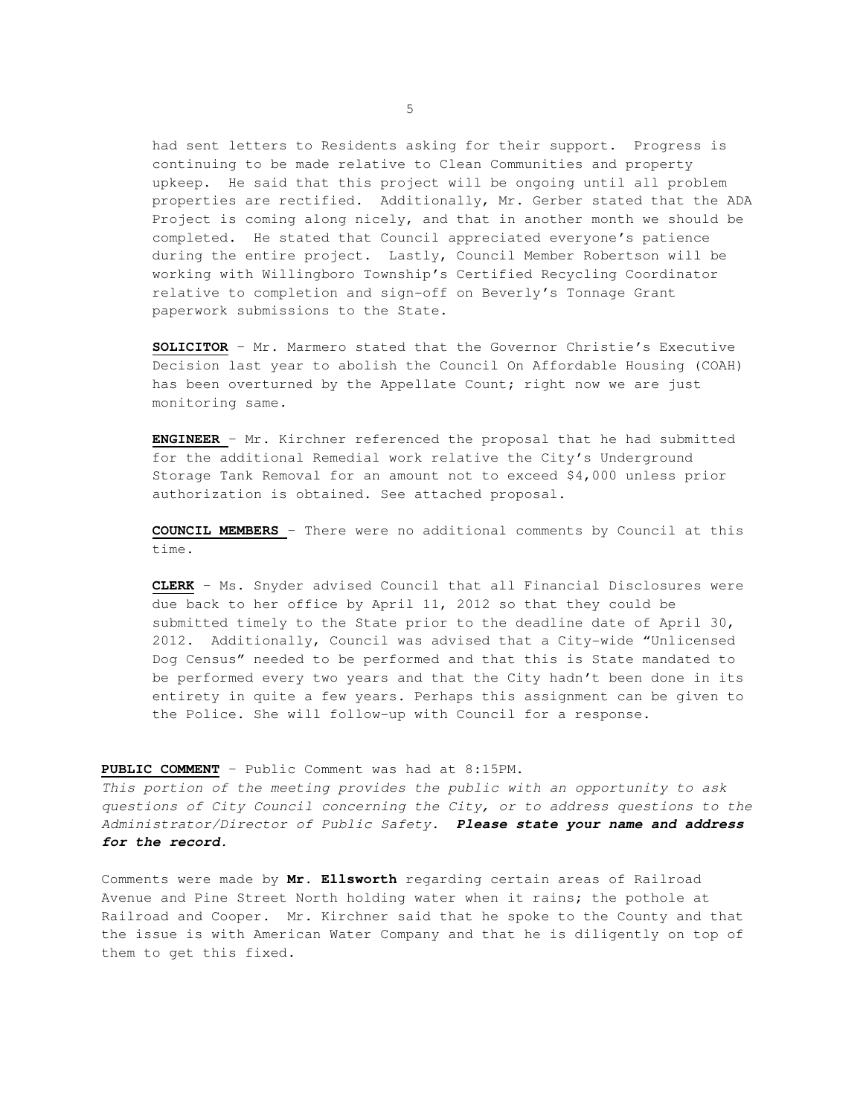had sent letters to Residents asking for their support. Progress is continuing to be made relative to Clean Communities and property upkeep. He said that this project will be ongoing until all problem properties are rectified. Additionally, Mr. Gerber stated that the ADA Project is coming along nicely, and that in another month we should be completed. He stated that Council appreciated everyone's patience during the entire project. Lastly, Council Member Robertson will be working with Willingboro Township's Certified Recycling Coordinator relative to completion and sign-off on Beverly's Tonnage Grant paperwork submissions to the State.

**SOLICITOR** – Mr. Marmero stated that the Governor Christie's Executive Decision last year to abolish the Council On Affordable Housing (COAH) has been overturned by the Appellate Count; right now we are just monitoring same.

**ENGINEER** – Mr. Kirchner referenced the proposal that he had submitted for the additional Remedial work relative the City's Underground Storage Tank Removal for an amount not to exceed \$4,000 unless prior authorization is obtained. See attached proposal.

**COUNCIL MEMBERS** – There were no additional comments by Council at this time.

**CLERK** – Ms. Snyder advised Council that all Financial Disclosures were due back to her office by April 11, 2012 so that they could be submitted timely to the State prior to the deadline date of April 30, 2012. Additionally, Council was advised that a City-wide "Unlicensed Dog Census" needed to be performed and that this is State mandated to be performed every two years and that the City hadn't been done in its entirety in quite a few years. Perhaps this assignment can be given to the Police. She will follow-up with Council for a response.

## **PUBLIC COMMENT** – Public Comment was had at 8:15PM.

This portion of the meeting provides the public with an opportunity to ask questions of City Council concerning the City, or to address questions to the Administrator/Director of Public Safety. **Please state your name and address for the record.** 

Comments were made by **Mr. Ellsworth** regarding certain areas of Railroad Avenue and Pine Street North holding water when it rains; the pothole at Railroad and Cooper. Mr. Kirchner said that he spoke to the County and that the issue is with American Water Company and that he is diligently on top of them to get this fixed.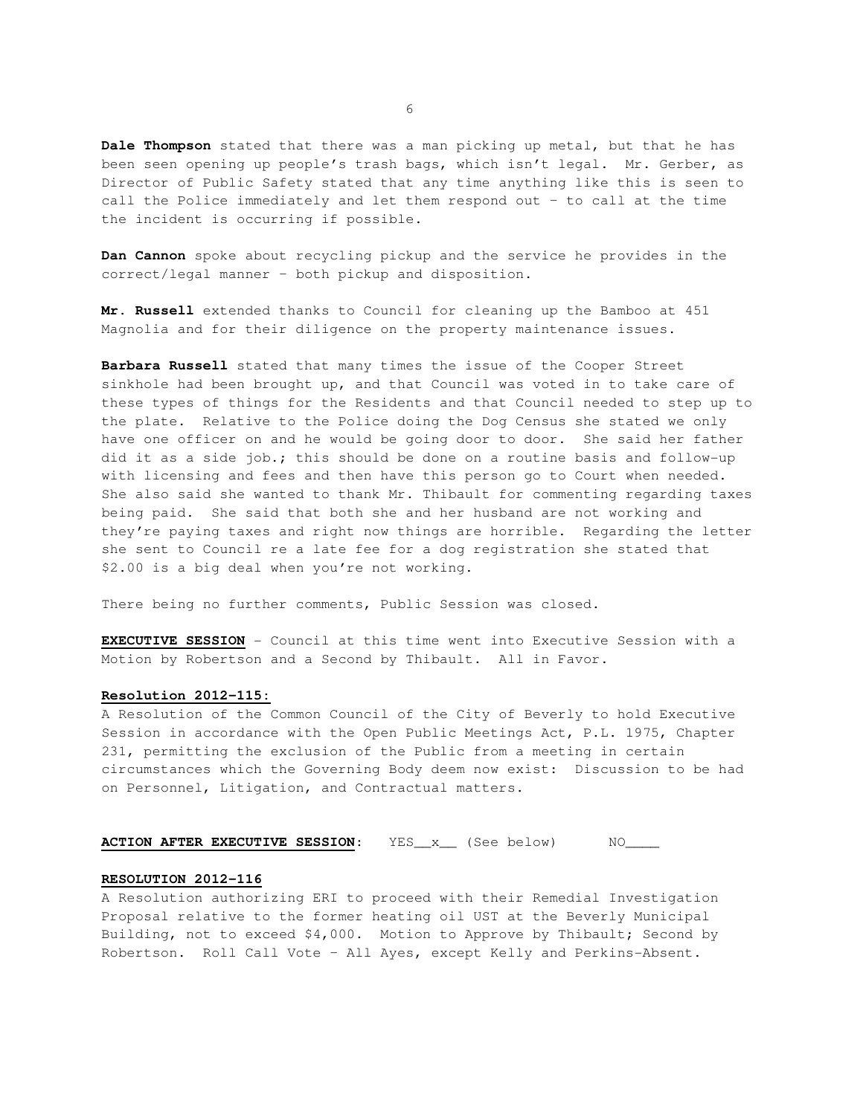**Dale Thompson** stated that there was a man picking up metal, but that he has been seen opening up people's trash bags, which isn't legal. Mr. Gerber, as Director of Public Safety stated that any time anything like this is seen to call the Police immediately and let them respond out – to call at the time the incident is occurring if possible.

**Dan Cannon** spoke about recycling pickup and the service he provides in the correct/legal manner – both pickup and disposition.

**Mr. Russell** extended thanks to Council for cleaning up the Bamboo at 451 Magnolia and for their diligence on the property maintenance issues.

**Barbara Russell** stated that many times the issue of the Cooper Street sinkhole had been brought up, and that Council was voted in to take care of these types of things for the Residents and that Council needed to step up to the plate. Relative to the Police doing the Dog Census she stated we only have one officer on and he would be going door to door. She said her father did it as a side job.; this should be done on a routine basis and follow-up with licensing and fees and then have this person go to Court when needed. She also said she wanted to thank Mr. Thibault for commenting regarding taxes being paid. She said that both she and her husband are not working and they're paying taxes and right now things are horrible. Regarding the letter she sent to Council re a late fee for a dog registration she stated that \$2.00 is a big deal when you're not working.

There being no further comments, Public Session was closed.

**EXECUTIVE SESSION** - Council at this time went into Executive Session with a Motion by Robertson and a Second by Thibault. All in Favor.

## **Resolution 2012-115:**

A Resolution of the Common Council of the City of Beverly to hold Executive Session in accordance with the Open Public Meetings Act, P.L. 1975, Chapter 231, permitting the exclusion of the Public from a meeting in certain circumstances which the Governing Body deem now exist: Discussion to be had on Personnel, Litigation, and Contractual matters.

## **ACTION AFTER EXECUTIVE SESSION:** YES\_x\_\_ (See below) NO\_\_\_\_

#### **RESOLUTION 2012-116**

A Resolution authorizing ERI to proceed with their Remedial Investigation Proposal relative to the former heating oil UST at the Beverly Municipal Building, not to exceed \$4,000. Motion to Approve by Thibault; Second by Robertson. Roll Call Vote – All Ayes, except Kelly and Perkins-Absent.